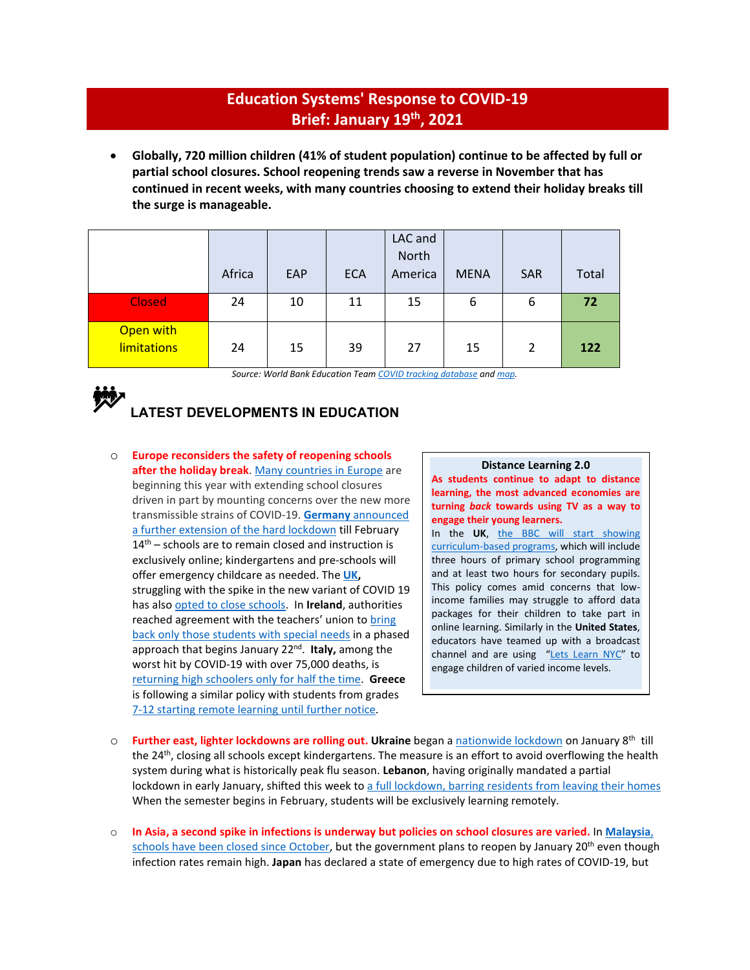## **Education Systems' Response to COVID-19 Brief: January 19th, 2021**

• **Globally, 720 million children (41% of student population) continue to be affected by full or partial school closures. School reopening trends saw a reverse in November that has continued in recent weeks, with many countries choosing to extend their holiday breaks till the surge is manageable.** 

|                                 | Africa | <b>EAP</b> | <b>ECA</b> | LAC and<br>North<br>America | <b>MENA</b> | <b>SAR</b>     | Total |
|---------------------------------|--------|------------|------------|-----------------------------|-------------|----------------|-------|
| <b>Closed</b>                   | 24     | 10         | 11         | 15                          | 6           | 6              | 72    |
| Open with<br><b>limitations</b> | 24     | 15         | 39         | 27                          | 15          | $\overline{2}$ | 122   |

*Source: World Bank Education Tea[m COVID tracking database](https://worldbankgroup-my.sharepoint.com/:x:/g/personal/tshmis_worldbank_org/EehfzqvLAm5CkGYQliGgCRQBmZg3meDaj5ZnpU4URJDX-g?e=bg0hMT) an[d map.](https://tab.worldbank.org/#/site/WBG/views/covid19/dsh_simple?:showAppBanner=false&:display_count=n&:showVizHome=n&:origin=viz_share_link&:iid=1)* 

# **LATEST DEVELOPMENTS IN EDUCATION**

o **Europe reconsiders the safety of reopening schools** after the holiday break. [Many countries in Europe](https://www.ft.com/content/8121ca0a-4d96-4cf5-b5df-a73adc16a606) are beginning this year with extending school closures driven in part by mounting concerns over the new more transmissible strains of COVID-19. **Germany** [announced](https://apnews.com/article/business-pandemics-angela-merkel-coronavirus-pandemic-germany-b6e644f588046e15c605b8e95779d817)  [a further extension of the hard lockdown](https://apnews.com/article/business-pandemics-angela-merkel-coronavirus-pandemic-germany-b6e644f588046e15c605b8e95779d817) till February  $14<sup>th</sup>$  – schools are to remain closed and instruction is exclusively online; kindergartens and pre-schools will offer emergency childcare as needed. The **[UK,](https://www.bbc.com/news/education-51643556)** struggling with the spike in the new variant of COVID 19 has als[o opted to close schools.](https://www.cnn.com/2021/01/14/uk/england-schools-hit-by-coronavirus-pandemic/index.html) In **Ireland**, authorities reached agreement with the teachers' union to bring [back only those students with special needs](https://www.irishtimes.com/news/education/schools-and-classes-for-children-with-additional-needs-to-reopen-next-thursday-1.4458286) in a phased approach that begins January 22nd. **Italy,** among the worst hit by COVID-19 with over 75,000 deaths, is [returning high schoolers only for half the time.](https://medicalxpress.com/news/2021-01-italy-virus-curbs-high-school.html) **Greece** is following a similar policy with students from grades [7-12 starting remote learning until further notice.](https://greekcitytimes.com/2021/01/05/primary-schools-reopen-jan-11/)

## **Distance Learning 2.0**

**As students continue to adapt to distance learning, the most advanced economies are turning** *back* **towards using TV as a way to engage their young learners.** 

In the **UK**, [the BBC will start showing](https://www.bbc.com/news/entertainment-arts-55552962)  [curriculum-based programs,](https://www.bbc.com/news/entertainment-arts-55552962) which will include three hours of primary school programming and at least two hours for secondary pupils. This policy comes amid concerns that lowincome families may struggle to afford data packages for their children to take part in online learning. Similarly in the **United States**, educators have teamed up with a broadcast channel and are using ["Lets Learn NYC"](https://www.nytimes.com/2021/01/03/technology/teachers-on-tv.html) to engage children of varied income levels.

- o **Further east, lighter lockdowns are rolling out. Ukraine** began a [nationwide lockdown](https://www.kyivpost.com/ukraine-politics/ukraine-to-impose-new-lockdown-on-jan-8-after-holidays.html?cn-reloaded=1&cn-reloaded=1) on January 8th till the 24<sup>th</sup>, closing all schools except kindergartens. The measure is an effort to avoid overflowing the health system during what is historically peak flu season. **Lebanon**, having originally mandated a partial lockdown in early January, shifted this week to [a full lockdown, barring residents from leaving their homes](https://www.france24.com/en/middle-east/20210115-lebanon-imposes-strict-new-lockdown-to-combat-post-holiday-covid-19-spike)  When the semester begins in February, students will be exclusively learning remotely.
- o **In Asia, a second spike in infections is underway but policies on school closures are varied.** In **[Malaysia](https://www.straitstimes.com/asia/se-asia/malaysias-lost-generation-of-students-torn-between-staying-safe-and-getting-an)**, schools have been [closed since October,](https://www.straitstimes.com/asia/se-asia/malaysias-lost-generation-of-students-torn-between-staying-safe-and-getting-an) but the government plans to reopen by January 20<sup>th</sup> even though infection rates remain high. **Japan** has declared a state of emergency due to high rates of COVID-19, but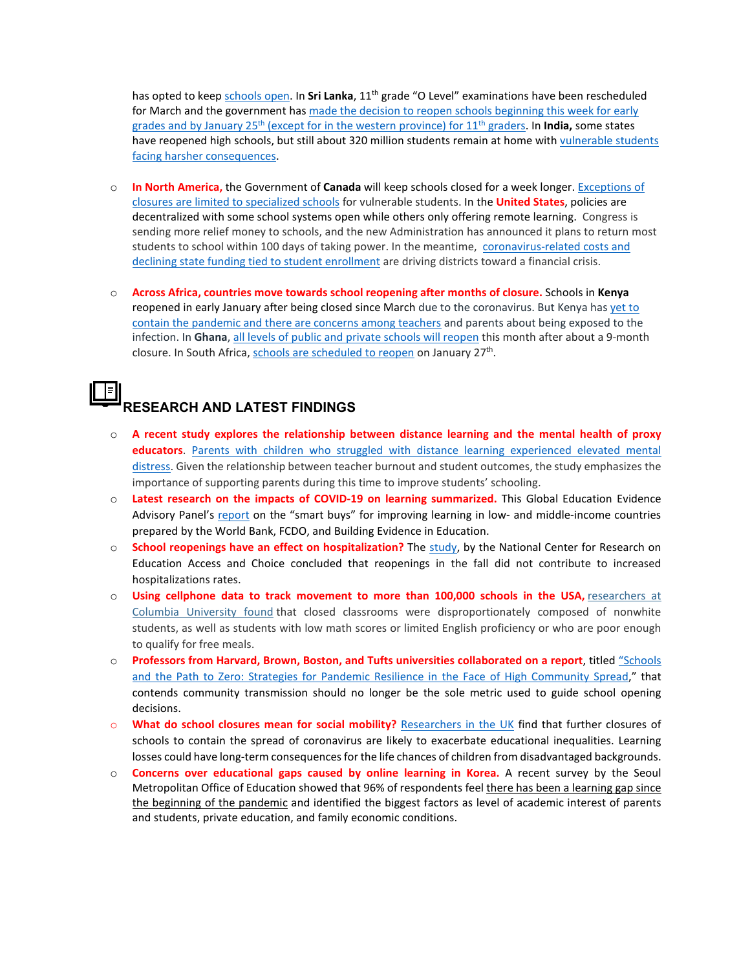has opted to kee[p schools open.](https://www.nytimes.com/2021/01/07/world/asia/japan-tokyo-state-of-emergency.html) In **Sri Lanka**, 11th grade "O Level" examinations have been rescheduled for March and the government ha[s made the decision to reopen schools](http://www.dailynews.lk/2021/01/04/local/237848/schools-reopen-jan-25-grade-11-students) beginning this week for early grades and by January 25th [\(except for in the western province\)](http://www.dailynews.lk/2021/01/04/local/237848/schools-reopen-jan-25-grade-11-students) for 11th graders. In **India,** some states have reopened high schools, but still about 320 million students remain at home with vulnerable students [facing harsher consequences.](https://www.washingtonpost.com/world/asia_pacific/india-coronavirus-school-closures/2020/12/23/7e80f628-3efc-11eb-b58b-1623f6267960_story.html) 

- o **In North America,** the Government of **Canada** will keep schools closed for a week longer. [Exceptions of](https://www.cbc.ca/news/canada/montreal/quebec-weighs-extending-school-closures-past-jan-11-parents-worry-1.5862544)  [closures are limited to specialized schools](https://www.cbc.ca/news/canada/montreal/quebec-weighs-extending-school-closures-past-jan-11-parents-worry-1.5862544) for vulnerable students. In the **United States**, policies are decentralized with some school systems open while others only offering remote learning. Congress is sending more relief money to schools, and the new Administration has announced it plans to return most students to school within 100 days of taking power. In the meantime, [coronavirus-related costs and](https://www.nytimes.com/2020/12/22/us/public-schools-enrollment-stimulus.html)  [declining state funding tied to student enrollment](https://www.nytimes.com/2020/12/22/us/public-schools-enrollment-stimulus.html) are driving districts toward a financial crisis.
- o **Across Africa, countries move towards school reopening after months of closure.** Schools in **Kenya** reopened in early January after being closed since March due to the coronavirus. But Kenya ha[s yet to](https://www.voanews.com/africa/kenyan-schools-reopen-despite-coronavirus-concerns)  [contain the pandemic and there are concerns among teachers](https://www.voanews.com/africa/kenyan-schools-reopen-despite-coronavirus-concerns) and parents about being exposed to the infection. In **Ghana**[, all levels of public and private schools will reopen](https://africa.cgtn.com/2021/01/04/ghana-to-reopen-school-after-9-month-closure/) this month after about a 9-month closure. In South Africa[, schools are scheduled to reopen](https://www.iol.co.za/dailynews/news/unions-mull-over-decision-to-challenge-school-reopening-dates-6f44de09-b1e9-4088-9293-c93f93ceb6db) on January 27<sup>th</sup>.

## ╞ **RESEARCH AND LATEST FINDINGS**

- o **A recent study explores the relationship between distance learning and the mental health of proxy educators**. Parents with children who struggled with distance learning experienced elevated mental [distress.](https://journals.sagepub.com/doi/pdf/10.3102/0013189X20978806) Given the relationship between teacher burnout and student outcomes, the study emphasizes the importance of supporting parents during this time to improve students' schooling.
- o **Latest research on the impacts of COVID-19 on learning summarized.** This Global Education Evidence Advisory Panel's [report](http://documents1.worldbank.org/curated/en/719211603835247448/pdf/Cost-Effective-Approaches-to-Improve-Global-Learning-What-Does-Recent-Evidence-Tell-Us-Are-Smart-Buys-for-Improving-Learning-in-Low-and-Middle-Income-Countries.pdf) on the "smart buys" for improving learning in low- and middle-income countries prepared by the World Bank, FCDO, and Building Evidence in Education.
- o **School reopenings have an effect on hospitalization?** The [study,](https://www.reachcentered.org/publications/the-effects-of-school-reopenings-on-covid-19-hospitalizations) by the National Center for Research on Education Access and Choice concluded that reopenings in the fall did not contribute to increased hospitalizations rates.
- o **Using cellphone data to track movement to more than 100,000 schools in the USA,** [researchers](https://osf.io/cr6gq/) at Columbia [University](https://osf.io/cr6gq/) found that closed classrooms were disproportionately composed of nonwhite students, as well as students with low math scores or limited English proficiency or who are poor enough to qualify for free meals.
- o **Professors from Harvard, Brown, Boston, and Tufts universities collaborated on a report**, titled ["Schools](https://globalepidemics.org/2020/12/18/schools-and-the-path-to-zero-strategies-for-pandemic-resilience-in-the-face-of-high-community-spread/)  [and the Path to Zero: Strategies for Pandemic Resilience in the Face of High Community Spread,](https://globalepidemics.org/2020/12/18/schools-and-the-path-to-zero-strategies-for-pandemic-resilience-in-the-face-of-high-community-spread/)" that contends community transmission should no longer be the sole metric used to guide school opening decisions.
- o **What do school closures mean for social mobility?** [Researchers in the UK](https://www.coronavirusandtheeconomy.com/question/what-do-school-closures-mean-social-mobility) find that further closures of schools to contain the spread of coronavirus are likely to exacerbate educational inequalities. Learning losses could have long-term consequences for the life chances of children from disadvantaged backgrounds.
- o **Concerns over educational gaps caused by online learning in Korea.** A recent survey by the Seoul Metropolitan Office of Education showed that 96% of respondents feel [there has been a learning gap since](http://www.koreaherald.com/view.php?ud=20201230000887)  [the beginning of the pandemic](http://www.koreaherald.com/view.php?ud=20201230000887) and identified the biggest factors as level of academic interest of parents and students, private education, and family economic conditions.